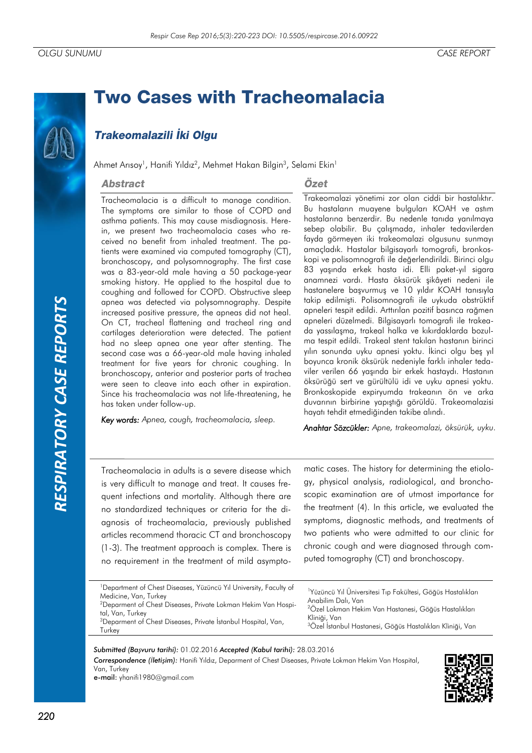# **Two Cases with Tracheomalacia**

## Trakeomalazili İki Olgu

Ahmet Arısoy<sup>1</sup>, Hanifi Yıldız<sup>2</sup>, Mehmet Hakan Bilgin<sup>3</sup>, Selami Ekin<sup>1</sup>

#### **Abstract**

### Özet

Tracheomalacia is a difficult to manage condition. The symptoms are similar to those of COPD and asthma patients. This may cause misdiagnosis. Herein, we present two tracheomalacia cases who received no benefit from inhaled treatment. The patients were examined via computed tomography (CT), bronchoscopy, and polysomnography. The first case was a 83-year-old male having a 50 package-year smoking history. He applied to the hospital due to coughing and followed for COPD. Obstructive sleep apnea was detected via polysomnography. Despite increased positive pressure, the apneas did not heal. On CT, tracheal flattening and tracheal ring and cartilages deterioration were detected. The patient had no sleep apnea one year after stenting. The second case was a 66-year-old male having inhaled treatment for five years for chronic coughing. In bronchoscopy, anterior and posterior parts of trachea were seen to cleave into each other in expiration. Since his tracheomalacia was not life-threatening, he has taken under follow-up.

*Key words: Apnea, cough, tracheomalacia, sleep.*

Trakeomalazi yönetimi zor olan ciddi bir hastalıktır. Bu hastaların muayene bulguları KOAH ve astım hastalarına benzerdir. Bu nedenle tanıda yanılmaya sebep olabilir. Bu çalışmada, inhaler tedavilerden fayda görmeyen iki trakeomalazi olgusunu sunmayı amaçladık. Hastalar bilgisayarlı tomografi, bronkoskopi ve polisomnografi ile değerlendirildi. Birinci olgu 83 yaşında erkek hasta idi. Elli paket-yıl sigara anamnezi vardı. Hasta öksürük şikâyeti nedeni ile hastanelere başvurmuş ve 10 yıldır KOAH tanısıyla takip edilmişti. Polisomnografi ile uykuda obstrüktif apneleri tespit edildi. Arttırılan pozitif basınca rağmen apneleri düzelmedi. Bilgisayarlı tomografi ile trakeada yassılaşma, trakeal halka ve kıkırdaklarda bozulma tespit edildi. Trakeal stent takılan hastanın birinci yılın sonunda uyku apnesi yoktu. İkinci olgu beş yıl boyunca kronik öksürük nedeniyle farklı inhaler tedaviler verilen 66 yaşında bir erkek hastaydı. Hastanın öksürüğü sert ve gürültülü idi ve uyku apnesi yoktu. Bronkoskopide expiryumda trakeanın ön ve arka duvarının birbirine yapıştığı görüldü. Trakeomalazisi hayatı tehdit etmediğinden takibe alındı.

*Anahtar Sözcükler: Apne, trakeomalazi, öksürük, uyku.*

Tracheomalacia in adults is a severe disease which is very difficult to manage and treat. It causes frequent infections and mortality. Although there are no standardized techniques or criteria for the diagnosis of tracheomalacia, previously published articles recommend thoracic CT and bronchoscopy (1-3). The treatment approach is complex. There is no requirement in the treatment of mild asymptomatic cases. The history for determining the etiology, physical analysis, radiological, and bronchoscopic examination are of utmost importance for the treatment (4). In this article, we evaluated the symptoms, diagnostic methods, and treatments of two patients who were admitted to our clinic for chronic cough and were diagnosed through computed tomography (CT) and bronchoscopy.

|--|

*Submitted (Başvuru tarihi):* 01.02.2016 *Accepted (Kabul tarihi):* 28.03.2016 *Correspondence (İletişim):* Hanifi Yıldız, Deparment of Chest Diseases, Private Lokman Hekim Van Hospital, Van, Turkey e-mail: yhanifi1980@gmail.com

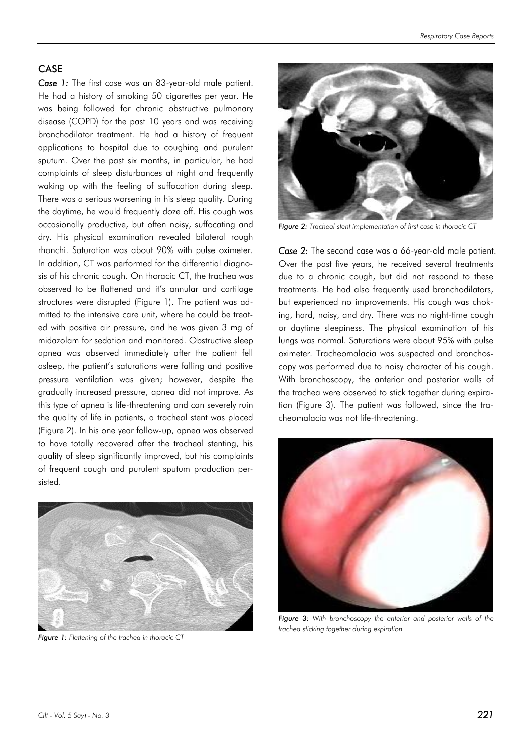#### CASE

*Case 1:* The first case was an 83-year-old male patient. He had a history of smoking 50 cigarettes per year. He was being followed for chronic obstructive pulmonary disease (COPD) for the past 10 years and was receiving bronchodilator treatment. He had a history of frequent applications to hospital due to coughing and purulent sputum. Over the past six months, in particular, he had complaints of sleep disturbances at night and frequently waking up with the feeling of suffocation during sleep. There was a serious worsening in his sleep quality. During the daytime, he would frequently doze off. His cough was occasionally productive, but often noisy, suffocating and dry. His physical examination revealed bilateral rough rhonchi. Saturation was about 90% with pulse oximeter. In addition, CT was performed for the differential diagnosis of his chronic cough. On thoracic CT, the trachea was observed to be flattened and it's annular and cartilage structures were disrupted (Figure 1). The patient was admitted to the intensive care unit, where he could be treated with positive air pressure, and he was given 3 mg of midazolam for sedation and monitored. Obstructive sleep apnea was observed immediately after the patient fell asleep, the patient's saturations were falling and positive pressure ventilation was given; however, despite the gradually increased pressure, apnea did not improve. As this type of apnea is life-threatening and can severely ruin the quality of life in patients, a tracheal stent was placed (Figure 2). In his one year follow-up, apnea was observed to have totally recovered after the tracheal stenting, his quality of sleep significantly improved, but his complaints of frequent cough and purulent sputum production persisted.



*Figure 1: Flattening of the trachea in thoracic CT*



*Figure 2: Tracheal stent implementation of first case in thoracic CT*

*Case 2:* The second case was a 66-year-old male patient. Over the past five years, he received several treatments due to a chronic cough, but did not respond to these treatments. He had also frequently used bronchodilators, but experienced no improvements. His cough was choking, hard, noisy, and dry. There was no night-time cough or daytime sleepiness. The physical examination of his lungs was normal. Saturations were about 95% with pulse oximeter. Tracheomalacia was suspected and bronchoscopy was performed due to noisy character of his cough. With bronchoscopy, the anterior and posterior walls of the trachea were observed to stick together during expiration (Figure 3). The patient was followed, since the tracheomalacia was not life-threatening.



*Figure 3: With bronchoscopy the anterior and posterior walls of the trachea sticking together during expiration*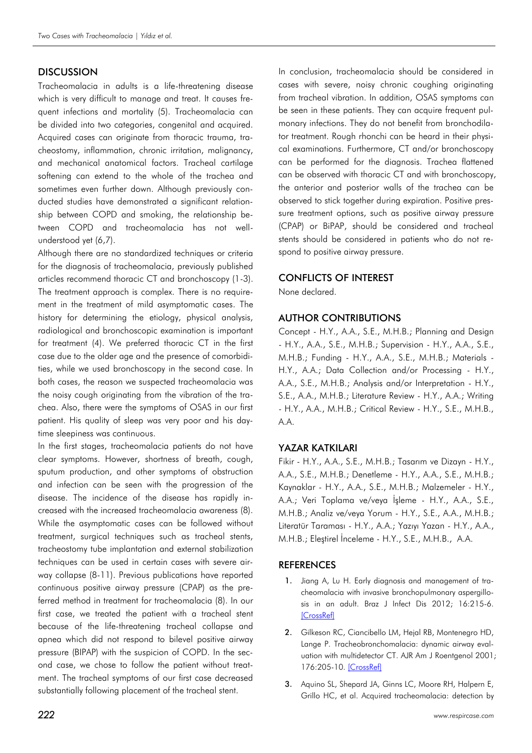#### **DISCUSSION**

Tracheomalacia in adults is a life-threatening disease which is very difficult to manage and treat. It causes frequent infections and mortality (5). Tracheomalacia can be divided into two categories, congenital and acquired. Acquired cases can originate from thoracic trauma, tracheostomy, inflammation, chronic irritation, malignancy, and mechanical anatomical factors. Tracheal cartilage softening can extend to the whole of the trachea and sometimes even further down. Although previously conducted studies have demonstrated a significant relationship between COPD and smoking, the relationship between COPD and tracheomalacia has not wellunderstood yet (6,7).

Although there are no standardized techniques or criteria for the diagnosis of tracheomalacia, previously published articles recommend thoracic CT and bronchoscopy (1-3). The treatment approach is complex. There is no requirement in the treatment of mild asymptomatic cases. The history for determining the etiology, physical analysis, radiological and bronchoscopic examination is important for treatment (4). We preferred thoracic CT in the first case due to the older age and the presence of comorbidities, while we used bronchoscopy in the second case. In both cases, the reason we suspected tracheomalacia was the noisy cough originating from the vibration of the trachea. Also, there were the symptoms of OSAS in our first patient. His quality of sleep was very poor and his daytime sleepiness was continuous.

In the first stages, tracheomalacia patients do not have clear symptoms. However, shortness of breath, cough, sputum production, and other symptoms of obstruction and infection can be seen with the progression of the disease. The incidence of the disease has rapidly increased with the increased tracheomalacia awareness (8). While the asymptomatic cases can be followed without treatment, surgical techniques such as tracheal stents, tracheostomy tube implantation and external stabilization techniques can be used in certain cases with severe airway collapse (8-11). Previous publications have reported continuous positive airway pressure (CPAP) as the preferred method in treatment for tracheomalacia (8). In our first case, we treated the patient with a tracheal stent because of the life-threatening tracheal collapse and apnea which did not respond to bilevel positive airway pressure (BIPAP) with the suspicion of COPD. In the second case, we chose to follow the patient without treatment. The tracheal symptoms of our first case decreased substantially following placement of the tracheal stent.

In conclusion, tracheomalacia should be considered in cases with severe, noisy chronic coughing originating from tracheal vibration. In addition, OSAS symptoms can be seen in these patients. They can acquire frequent pulmonary infections. They do not benefit from bronchodilator treatment. Rough rhonchi can be heard in their physical examinations. Furthermore, CT and/or bronchoscopy can be performed for the diagnosis. Trachea flattened can be observed with thoracic CT and with bronchoscopy, the anterior and posterior walls of the trachea can be observed to stick together during expiration. Positive pressure treatment options, such as positive airway pressure (CPAP) or BiPAP, should be considered and tracheal stents should be considered in patients who do not respond to positive airway pressure.

#### CONFLICTS OF INTEREST

None declared.

#### AUTHOR CONTRIBUTIONS

Concept - H.Y., A.A., S.E., M.H.B.; Planning and Design - H.Y., A.A., S.E., M.H.B.; Supervision - H.Y., A.A., S.E., M.H.B.; Funding - H.Y., A.A., S.E., M.H.B.; Materials - H.Y., A.A.; Data Collection and/or Processing - H.Y., A.A., S.E., M.H.B.; Analysis and/or Interpretation - H.Y., S.E., A.A., M.H.B.; Literature Review - H.Y., A.A.; Writing - H.Y., A.A., M.H.B.; Critical Review - H.Y., S.E., M.H.B., A.A.

#### YAZAR KATKILARI

Fikir - H.Y., A.A., S.E., M.H.B.; Tasarım ve Dizayn - H.Y., A.A., S.E., M.H.B.; Denetleme - H.Y., A.A., S.E., M.H.B.; Kaynaklar - H.Y., A.A., S.E., M.H.B.; Malzemeler - H.Y., A.A.; Veri Toplama ve/veya İşleme - H.Y., A.A., S.E., M.H.B.; Analiz ve/veya Yorum - H.Y., S.E., A.A., M.H.B.; Literatür Taraması - H.Y., A.A.; Yazıyı Yazan - H.Y., A.A., M.H.B.; Eleştirel İnceleme - H.Y., S.E., M.H.B., A.A.

#### **REFERENCES**

- 1. Jiang A, Lu H. Early diagnosis and management of tracheomalacia with invasive bronchopulmonary aspergillosis in an adult. Braz J Infect Dis 2012; 16:215-6. **[\[CrossRef\]](http://dx.doi.org/10.1590/S1413-86702012000200023)**
- 2. Gilkeson RC, Ciancibello LM, Heial RB, Montenegro HD, Lange P. Tracheobronchomalacia: dynamic airway evaluation with multidetector CT. AJR Am J Roentgenol 2001; 176:205-10. [\[CrossRef\]](http://dx.doi.org/10.2214/ajr.176.1.1760205)
- 3. Aquino SL, Shepard JA, Ginns LC, Moore RH, Halpern E, Grillo HC, et al. Acquired tracheomalacia: detection by